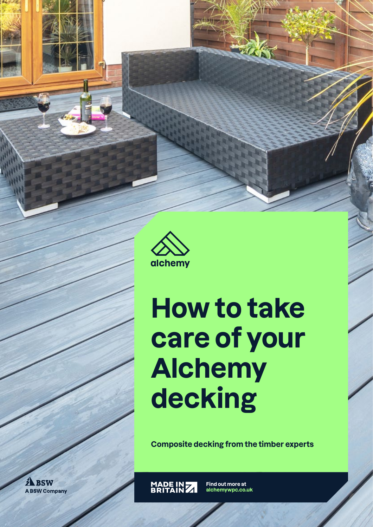

# **How to take care of your Alchemy decking**

**Composite decking from the timber experts**

MADE IN 7

**Find out more at alchemywpc.co.uk**

**A** BSW **A BSW Company**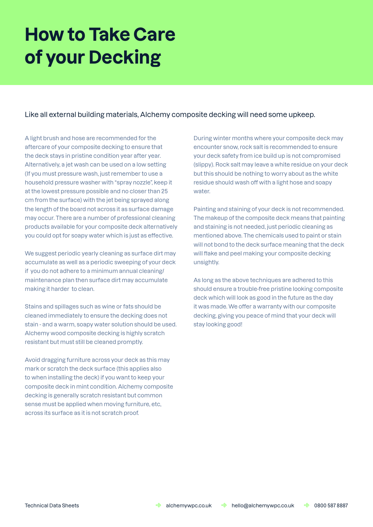## **How to Take Care of your Decking**

### Like all external building materials, Alchemy composite decking will need some upkeep.

A light brush and hose are recommended for the aftercare of your composite decking to ensure that the deck stays in pristine condition year after year. Alternatively, a jet wash can be used on a low setting (If you must pressure wash, just remember to use a household pressure washer with "spray nozzle", keep it at the lowest pressure possible and no closer than 25 cm from the surface) with the jet being sprayed along the length of the board not across it as surface damage may occur. There are a number of professional cleaning products available for your composite deck alternatively you could opt for soapy water which is just as effective.

We suggest periodic yearly cleaning as surface dirt may accumulate as well as a periodic sweeping of your deck if you do not adhere to a minimum annual cleaning/ maintenance plan then surface dirt may accumulate making it harder to clean.

Stains and spillages such as wine or fats should be cleaned immediately to ensure the decking does not stain - and a warm, soapy water solution should be used. Alchemy wood composite decking is highly scratch resistant but must still be cleaned promptly.

Avoid dragging furniture across your deck as this may mark or scratch the deck surface (this applies also to when installing the deck) if you want to keep your composite deck in mint condition. Alchemy composite decking is generally scratch resistant but common sense must be applied when moving furniture, etc, across its surface as it is not scratch proof.

During winter months where your composite deck may encounter snow, rock salt is recommended to ensure your deck safety from ice build up is not compromised (slippy). Rock salt may leave a white residue on your deck but this should be nothing to worry about as the white residue should wash off with a light hose and soapy water.

Painting and staining of your deck is not recommended. The makeup of the composite deck means that painting and staining is not needed, just periodic cleaning as mentioned above. The chemicals used to paint or stain will not bond to the deck surface meaning that the deck will flake and peel making your composite decking unsightly.

As long as the above techniques are adhered to this should ensure a trouble-free pristine looking composite deck which will look as good in the future as the day it was made. We offer a warranty with our composite decking, giving you peace of mind that your deck will stay looking good!